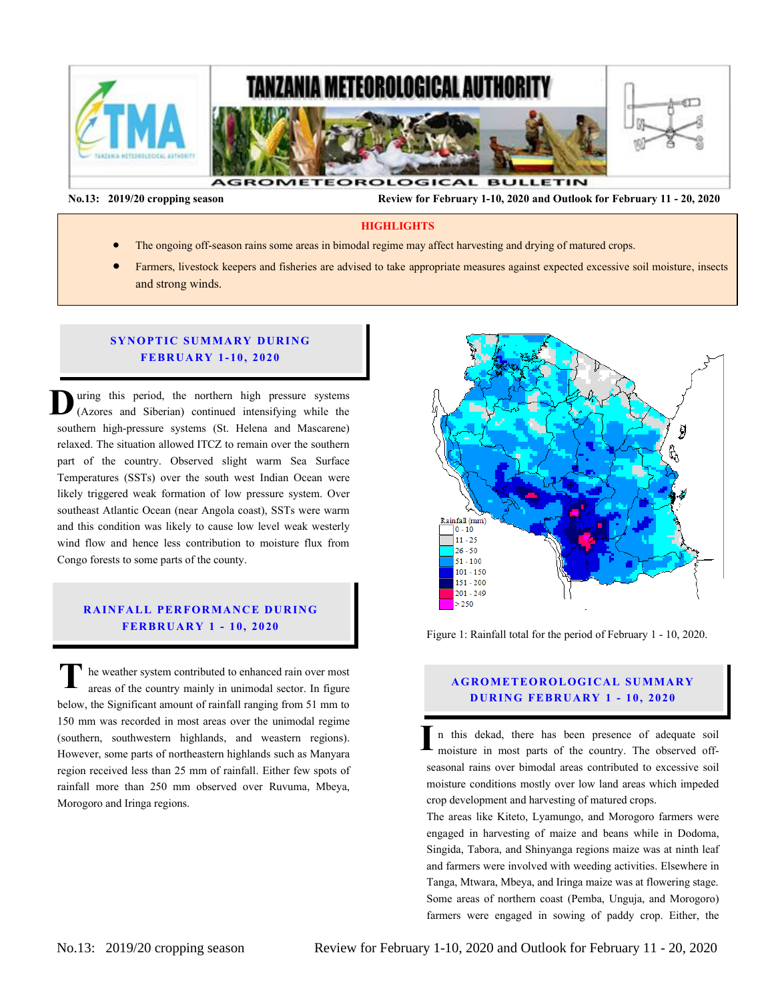

 **No.13: 2019/20 cropping season Review for February 1-10, 2020 and Outlook for February 11 - 20, 2020** 

#### **HIGHLIGHTS**

- The ongoing off-season rains some areas in bimodal regime may affect harvesting and drying of matured crops.
- Farmers, livestock keepers and fisheries are advised to take appropriate measures against expected excessive soil moisture, insects and strong winds.

#### **SYNOPTIC SUMMARY DURING FEBR U ARY 1- 10, 20 20**

uring this period, the northern high pressure systems (Azores and Siberian) continued intensifying while the southern high-pressure systems (St. Helena and Mascarene) relaxed. The situation allowed ITCZ to remain over the southern part of the country. Observed slight warm Sea Surface Temperatures (SSTs) over the south west Indian Ocean were likely triggered weak formation of low pressure system. Over southeast Atlantic Ocean (near Angola coast), SSTs were warm and this condition was likely to cause low level weak westerly wind flow and hence less contribution to moisture flux from Congo forests to some parts of the county. **D** Te<br>lik<br>so an<br> $\frac{w}{C}$ 

# **RAINFALL PERFORMANCE DURING FER BR U AR Y 1 - 10, 20 20**

he weather system contributed to enhanced rain over most areas of the country mainly in unimodal sector. In figure below, the Significant amount of rainfall ranging from 51 mm to 150 mm was recorded in most areas over the unimodal regime (southern, southwestern highlands, and weastern regions). However, some parts of northeastern highlands such as Manyara region received less than 25 mm of rainfall. Either few spots of rainfall more than 250 mm observed over Ruvuma, Mbeya, Morogoro and Iringa regions. **T**



Figure 1: Rainfall total for the period of February 1 - 10, 2020.

# **A G RO METEOR O LOG ICA L SU MMA RY D UR ING FEBR UA RY 1 - 10, 2020**

n this dekad, there has been presence of adequate soil moisture in most parts of the country. The observed offseasonal rains over bimodal areas contributed to excessive soil moisture conditions mostly over low land areas which impeded crop development and harvesting of matured crops. **I**

The areas like Kiteto, Lyamungo, and Morogoro farmers were engaged in harvesting of maize and beans while in Dodoma, Singida, Tabora, and Shinyanga regions maize was at ninth leaf and farmers were involved with weeding activities. Elsewhere in Tanga, Mtwara, Mbeya, and Iringa maize was at flowering stage. Some areas of northern coast (Pemba, Unguja, and Morogoro) farmers were engaged in sowing of paddy crop. Either, the